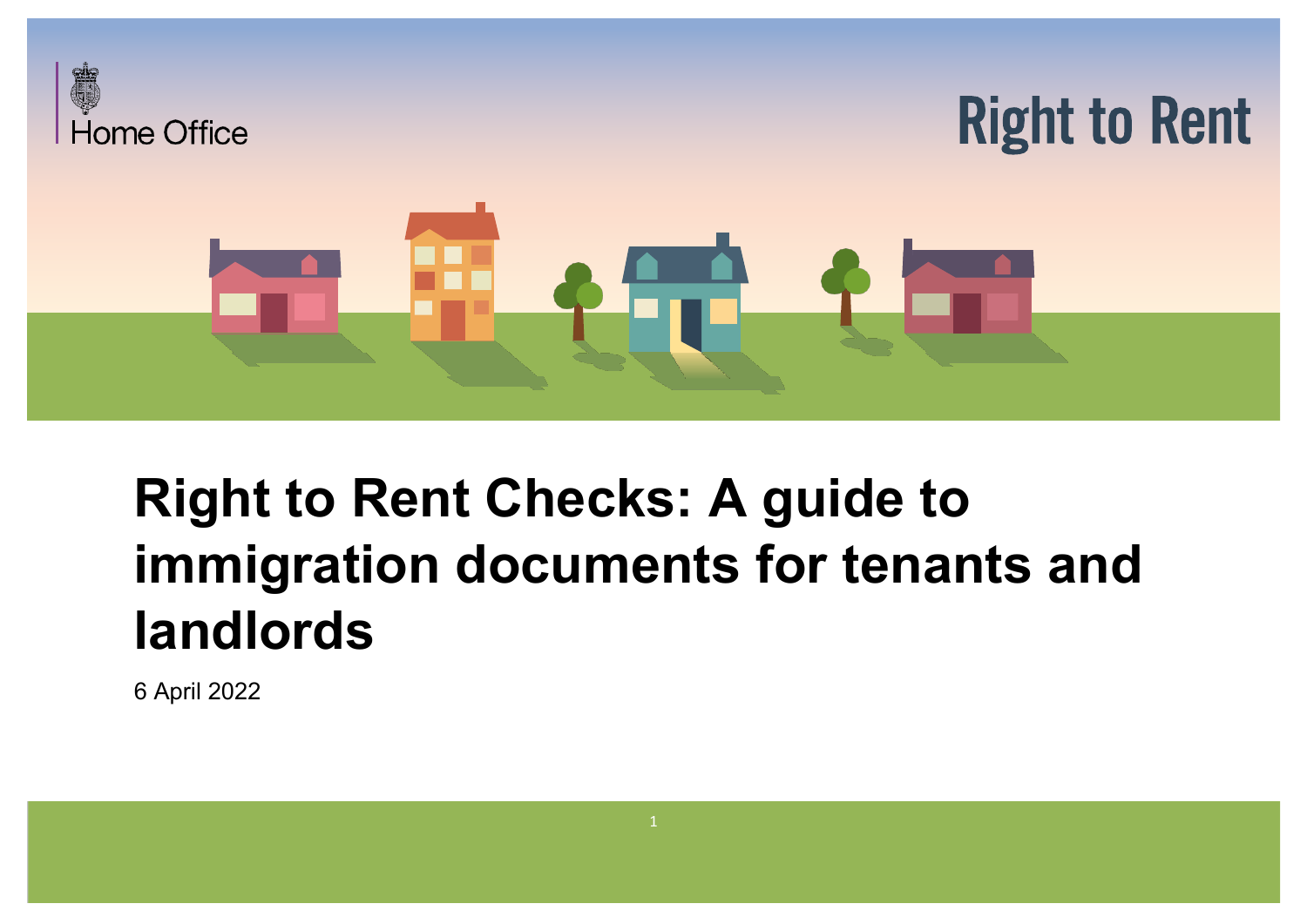

# **Right to Rent Checks: A guide to immigration documents for tenants and landlords**

6 April 2022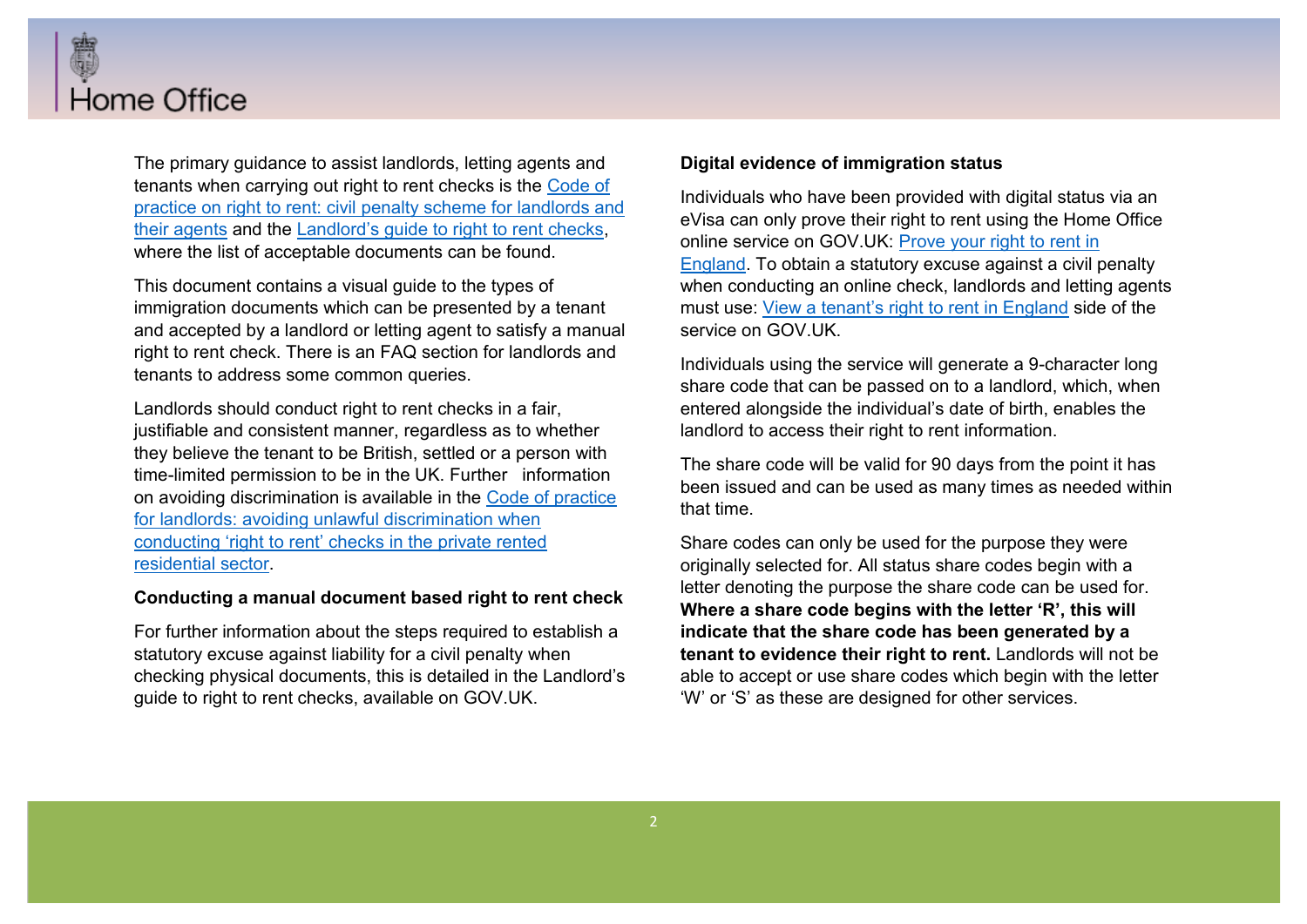

The primary guidance to assist landlords, letting agents and tenants when carrying out right to rent checks is the Code of practice on right to rent: civil penalty scheme for landlords and their agents and the Landlord's quide to right to rent checks. where the list of acceptable documents can be found.

This document contains a visual guide to the types of immigration documents which can be presented by a tenant and accepted by a landlord or letting agent to satisfy a manual right to rent check. There is an FAQ section for landlords and tenants to address some common queries.

Landlords should conduct right to rent checks in a fair, justifiable and consistent manner, regardless as to whether they believe the tenant to be British, settled or a person with time-limited permission to be in the UK. Further information on avoiding discrimination is available in the Code of practice for landlords: avoiding unlawful discrimination when conducting 'right to rent' checks in the private rented residential sector.

#### **Conducting a manual document based right to rent check**

For further information about the steps required to establish a statutory excuse against liability for a civil penalty when checking physical documents, this is detailed in the Landlord's guide to right to rent checks, available on GOV.UK.

#### **Digital evidence of immigration status**

Individuals who have been provided with digital status via an eVisa can only prove their right to rent using the Home Office online service on GOV.UK: Prove your right to rent in England. To obtain a statutory excuse against a civil penalty when conducting an online check, landlords and letting agents must use: View a tenant's right to rent in England side of the service on GOV.UK.

Individuals using the service will generate a 9-character long share code that can be passed on to a landlord, which, when entered alongside the individual's date of birth, enables the landlord to access their right to rent information.

The share code will be valid for 90 days from the point it has been issued and can be used as many times as needed within that time.

Share codes can only be used for the purpose they were originally selected for. All status share codes begin with a letter denoting the purpose the share code can be used for. **Where a share code begins with the letter 'R', this will indicate that the share code has been generated by a tenant to evidence their right to rent.** Landlords will not be able to accept or use share codes which begin with the letter "W" or 'S" as these are designed for other services.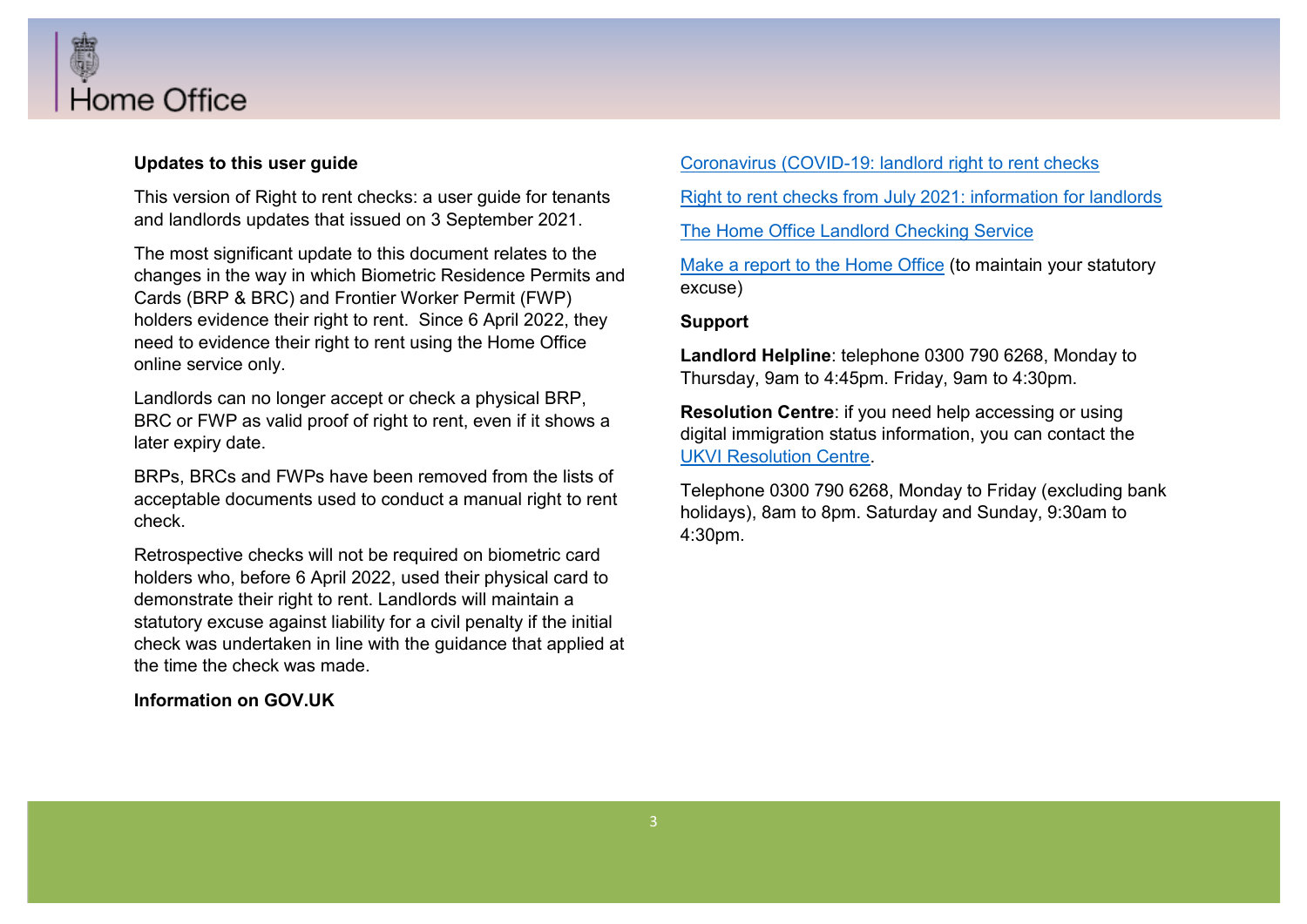

#### **Updates to this user guide**

This version of Right to rent checks: a user guide for tenants and landlords updates that issued on 3 September 2021.

The most significant update to this document relates to the changes in the way in which Biometric Residence Permits and Cards (BRP & BRC) and Frontier Worker Permit (FWP) holders evidence their right to rent. Since 6 April 2022, they need to evidence their right to rent using the Home Office online service only.

Landlords can no longer accept or check a physical BRP, BRC or FWP as valid proof of right to rent, even if it shows a later expiry date.

BRPs, BRCs and FWPs have been removed from the lists of acceptable documents used to conduct a manual right to rent check.

Retrospective checks will not be required on biometric card holders who, before 6 April 2022, used their physical card to demonstrate their right to rent. Landlords will maintain a statutory excuse against liability for a civil penalty if the initial check was undertaken in line with the guidance that applied at the time the check was made.

#### **Information on GOV.UK**

Coronavirus (COVID-19: landlord right to rent checks

Right to rent checks from July 2021: information for landlords

The Home Office Landlord Checking Service

Make a report to the Home Office (to maintain your statutory excuse)

**Support** 

**Landlord Helpline**: telephone 0300 790 6268, Monday to Thursday, 9am to 4:45pm. Friday, 9am to 4:30pm.

**Resolution Centre**: if you need help accessing or using digital immigration status information, you can contact the UKVI Resolution Centre.

Telephone 0300 790 6268, Monday to Friday (excluding bank holidays), 8am to 8pm. Saturday and Sunday, 9:30am to 4:30pm.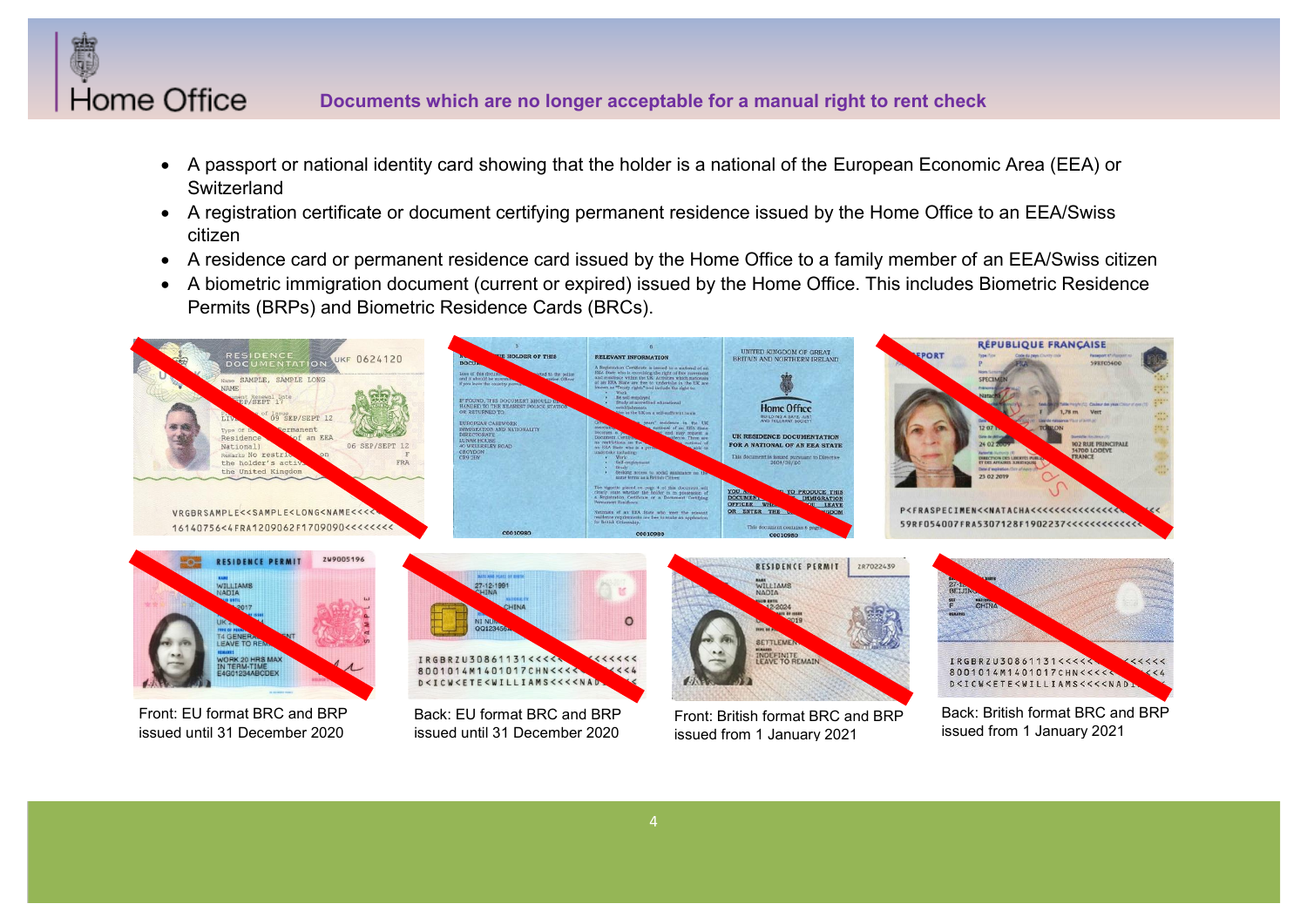

# **Documents which are no longer acceptable for a manual right to rent check**

- A passport or national identity card showing that the holder is a national of the European Economic Area (EEA) or **Switzerland**
- A registration certificate or document certifying permanent residence issued by the Home Office to an EEA/Swiss citizen
- A residence card or permanent residence card issued by the Home Office to a family member of an EEA/Swiss citizen
- x A biometric immigration document (current or expired) issued by the Home Office. This includes Biometric Residence Permits (BRPs) and Biometric Residence Cards (BRCs).



issued from 1 January 2021

issued from 1 January 2021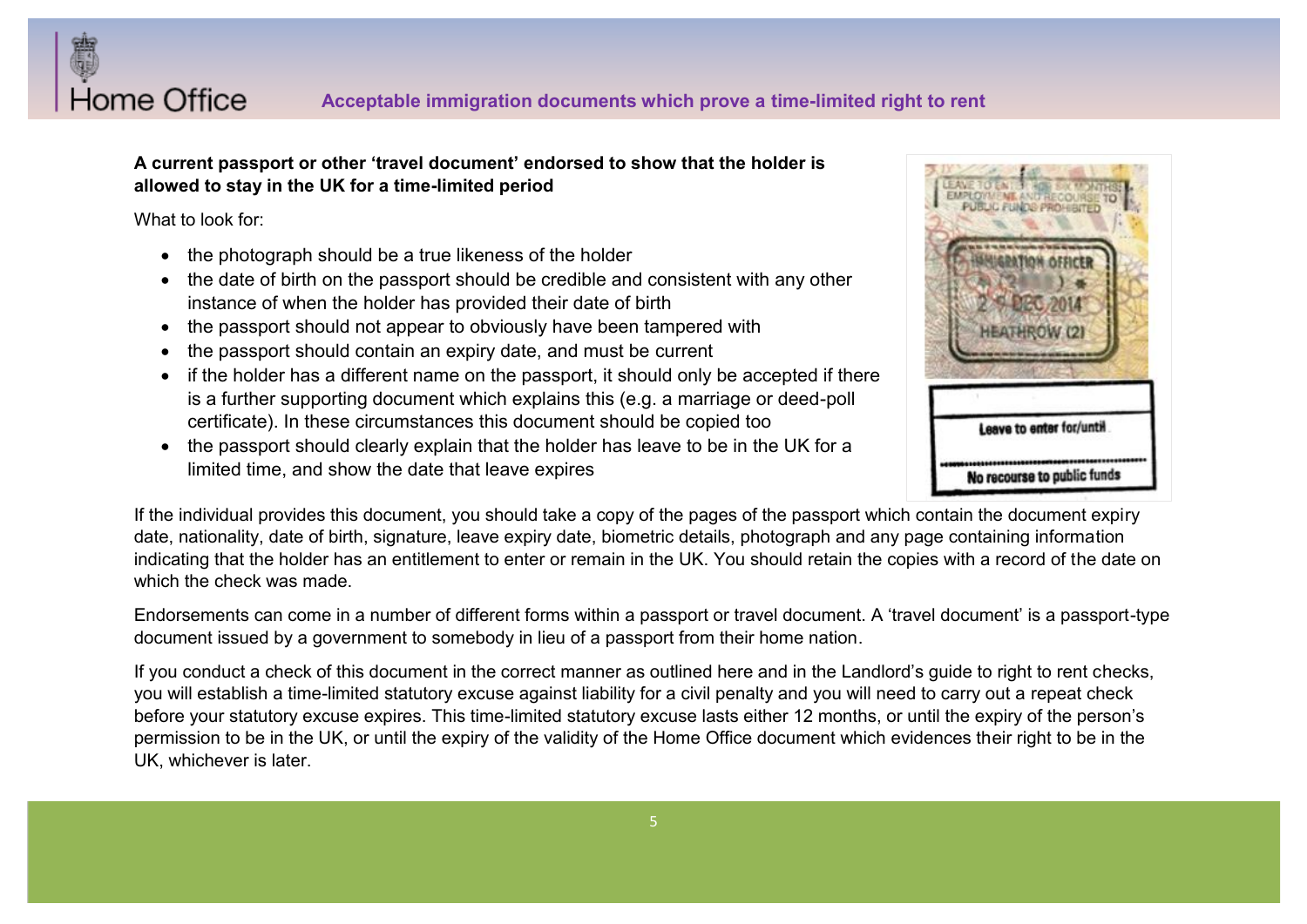

# A current passport or other 'travel document' endorsed to show that the holder is **allowed to stay in the UK for a time-limited period**

What to look for:

- $\bullet$  the photograph should be a true likeness of the holder
- the date of birth on the passport should be credible and consistent with any other instance of when the holder has provided their date of birth
- the passport should not appear to obviously have been tampered with
- the passport should contain an expiry date, and must be current
- if the holder has a different name on the passport, it should only be accepted if there is a further supporting document which explains this (e.g. a marriage or deed-poll certificate). In these circumstances this document should be copied too
- the passport should clearly explain that the holder has leave to be in the UK for a limited time, and show the date that leave expires



If the individual provides this document, you should take a copy of the pages of the passport which contain the document expiry date, nationality, date of birth, signature, leave expiry date, biometric details, photograph and any page containing information indicating that the holder has an entitlement to enter or remain in the UK. You should retain the copies with a record of the date on which the check was made.

Endorsements can come in a number of different forms within a passport or travel document. A 'travel document' is a passport-type document issued by a government to somebody in lieu of a passport from their home nation.

If you conduct a check of this document in the correct manner as outlined here and in the Landlord's quide to right to rent checks, you will establish a time-limited statutory excuse against liability for a civil penalty and you will need to carry out a repeat check before your statutory excuse expires. This time-limited statutory excuse lasts either 12 months, or until the expiry of the person's permission to be in the UK, or until the expiry of the validity of the Home Office document which evidences their right to be in the UK, whichever is later.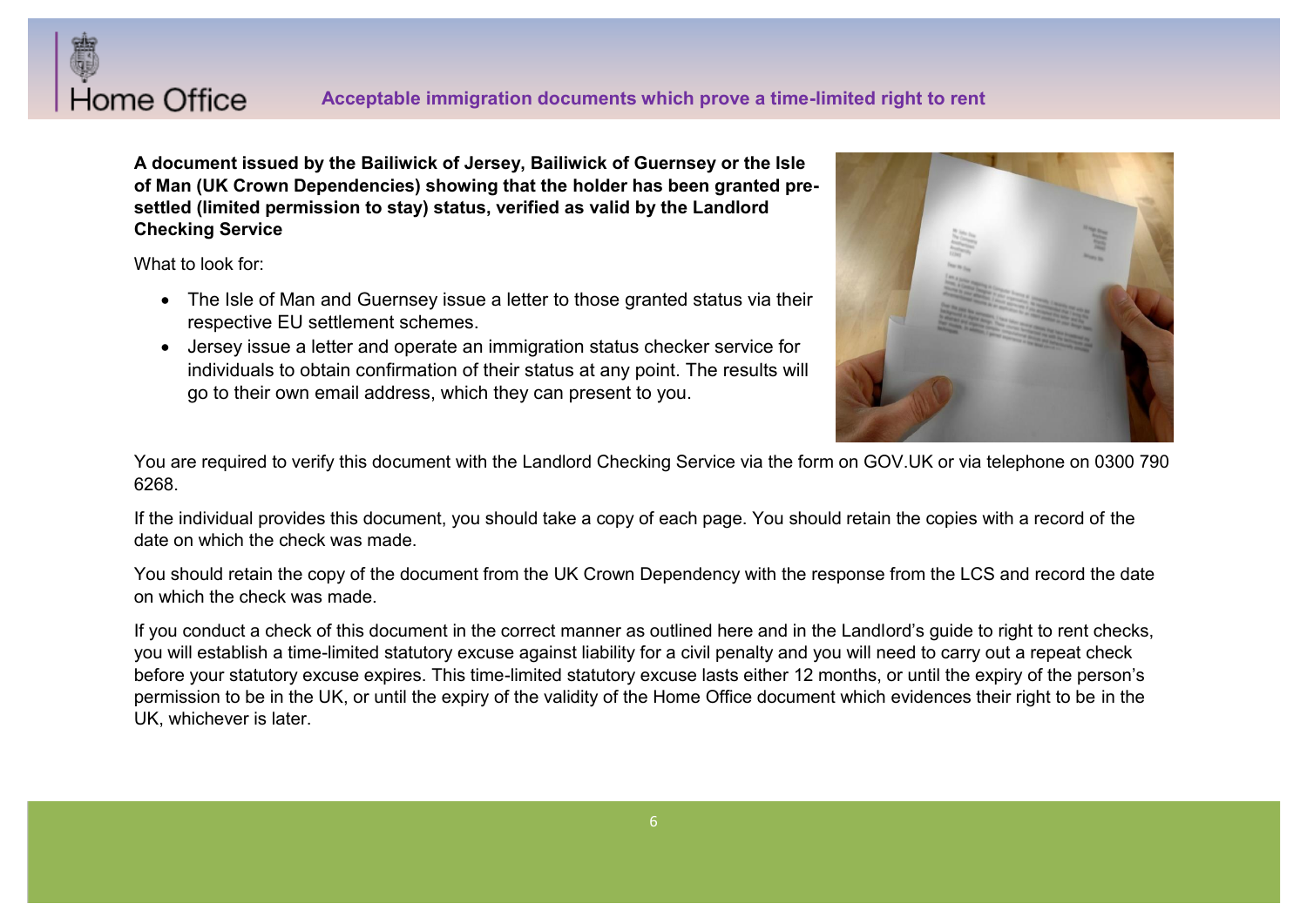

**A document issued by the Bailiwick of Jersey, Bailiwick of Guernsey or the Isle of Man (UK Crown Dependencies) showing that the holder has been granted presettled (limited permission to stay) status, verified as valid by the Landlord Checking Service**

What to look for:

- The Isle of Man and Guernsey issue a letter to those granted status via their respective EU settlement schemes.
- Jersey issue a letter and operate an immigration status checker service for individuals to obtain confirmation of their status at any point. The results will go to their own email address, which they can present to you.



You are required to verify this document with the Landlord Checking Service via the form on GOV.UK or via telephone on 0300 790 6268.

If the individual provides this document, you should take a copy of each page. You should retain the copies with a record of the date on which the check was made.

You should retain the copy of the document from the UK Crown Dependency with the response from the LCS and record the date on which the check was made.

If you conduct a check of this document in the correct manner as outlined here and in the Landlord's quide to right to rent checks. you will establish a time-limited statutory excuse against liability for a civil penalty and you will need to carry out a repeat check before your statutory excuse expires. This time-limited statutory excuse lasts either 12 months, or until the expiry of the person's permission to be in the UK, or until the expiry of the validity of the Home Office document which evidences their right to be in the UK, whichever is later.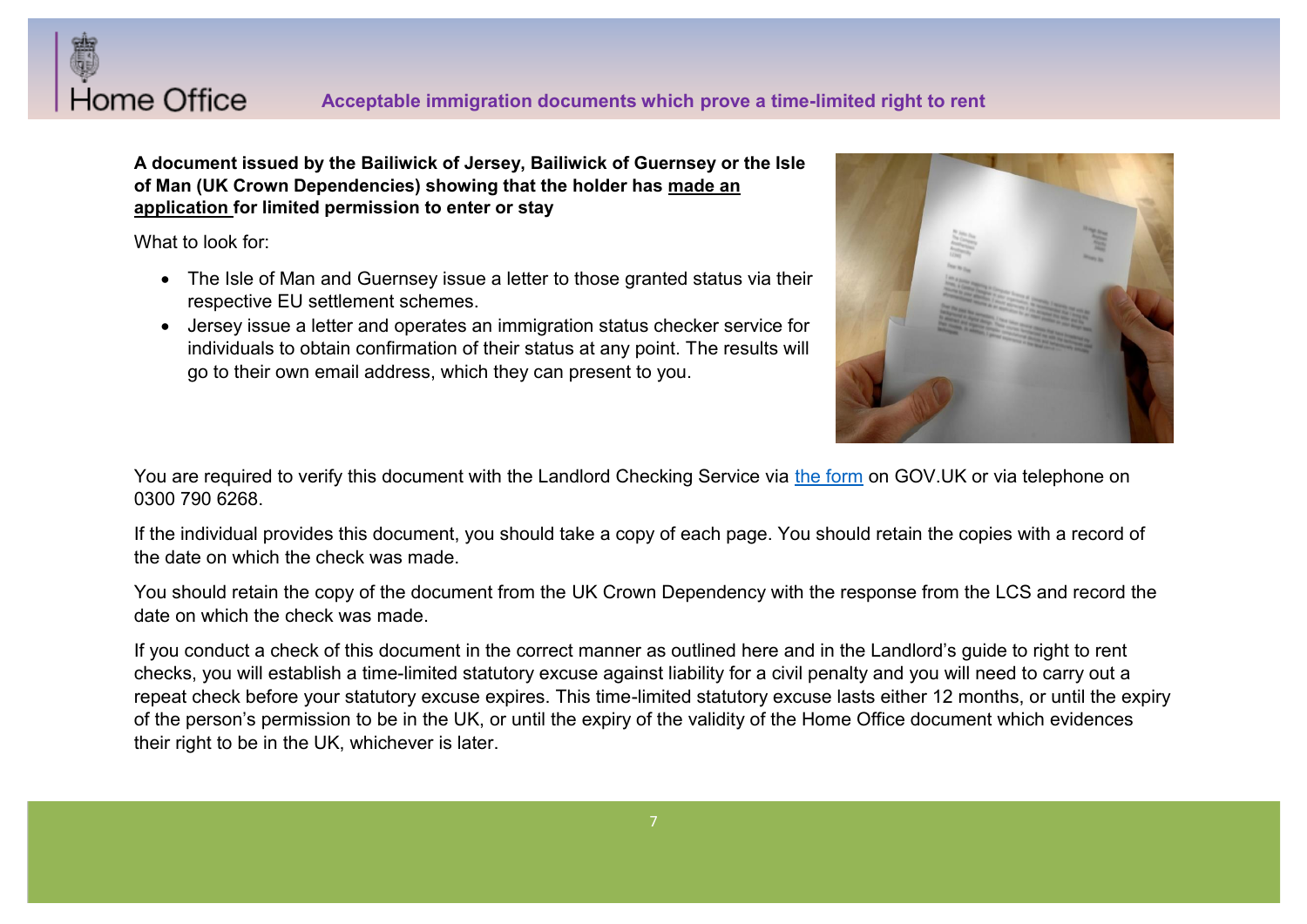# Home Office

**A document issued by the Bailiwick of Jersey, Bailiwick of Guernsey or the Isle of Man (UK Crown Dependencies) showing that the holder has made an application for limited permission to enter or stay**

What to look for:

- The Isle of Man and Guernsey issue a letter to those granted status via their respective EU settlement schemes.
- Jersey issue a letter and operates an immigration status checker service for individuals to obtain confirmation of their status at any point. The results will go to their own email address, which they can present to you.



You are required to verify this document with the Landlord Checking Service via the form on GOV. UK or via telephone on 0300 790 6268.

If the individual provides this document, you should take a copy of each page. You should retain the copies with a record of the date on which the check was made.

You should retain the copy of the document from the UK Crown Dependency with the response from the LCS and record the date on which the check was made.

If you conduct a check of this document in the correct manner as outlined here and in the Landlord's guide to right to rent checks, you will establish a time-limited statutory excuse against liability for a civil penalty and you will need to carry out a repeat check before your statutory excuse expires. This time-limited statutory excuse lasts either 12 months, or until the expiry of the person's permission to be in the UK, or until the expiry of the validity of the Home Office document which evidences their right to be in the UK, whichever is later.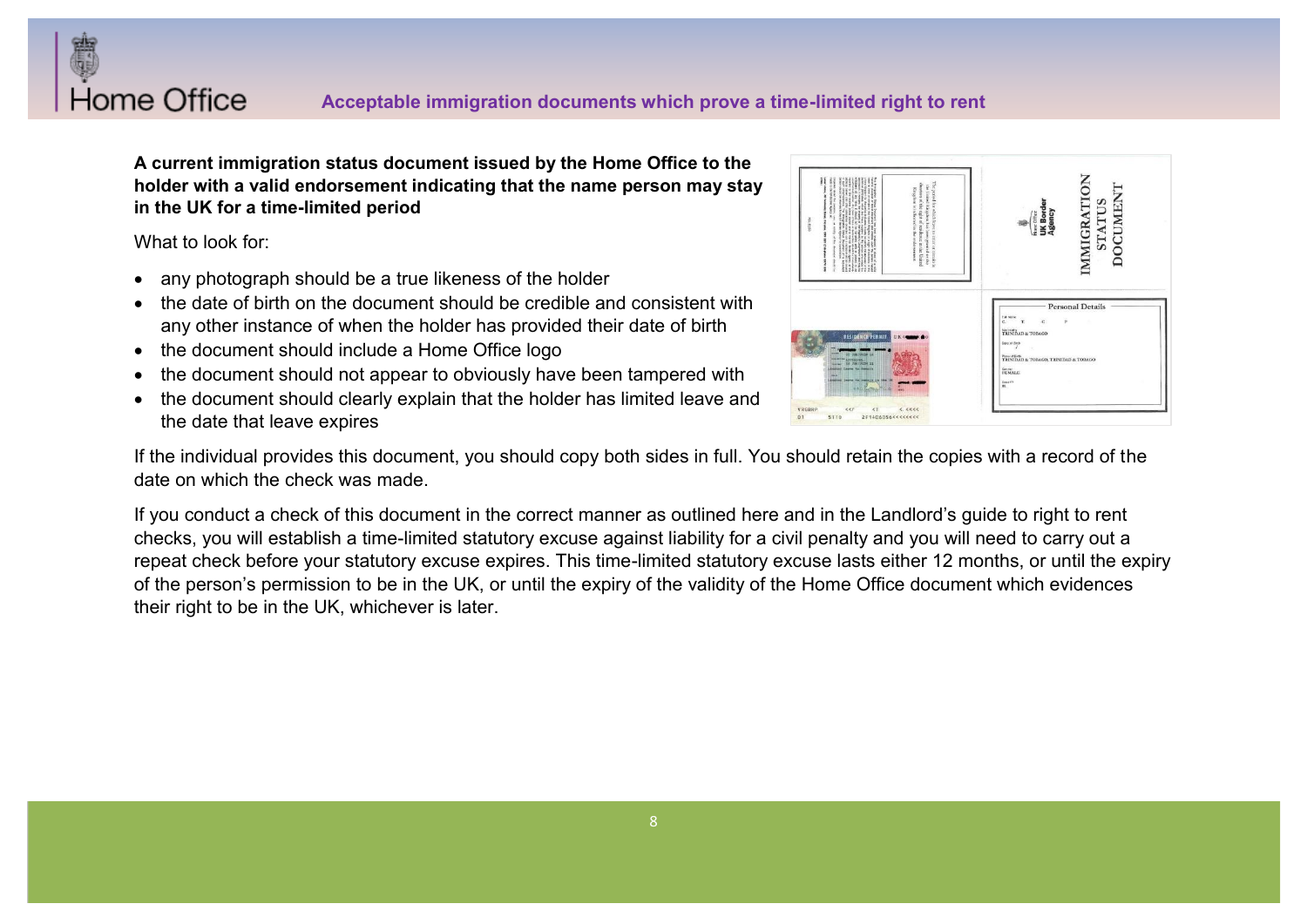

# **Acceptable immigration documents which prove a time-limited right to rent**

**A current immigration status document issued by the Home Office to the holder with a valid endorsement indicating that the name person may stay in the UK for a time-limited period**

What to look for:

- any photograph should be a true likeness of the holder
- $\bullet$  the date of birth on the document should be credible and consistent with any other instance of when the holder has provided their date of birth
- the document should include a Home Office logo
- the document should not appear to obviously have been tampered with
- the document should clearly explain that the holder has limited leave and the date that leave expires



If the individual provides this document, you should copy both sides in full. You should retain the copies with a record of the date on which the check was made.

If you conduct a check of this document in the correct manner as outlined here and in the Landlord's quide to right to rent checks, you will establish a time-limited statutory excuse against liability for a civil penalty and you will need to carry out a repeat check before your statutory excuse expires. This time-limited statutory excuse lasts either 12 months, or until the expiry of the person's permission to be in the UK, or until the expiry of the validity of the Home Office document which evidences their right to be in the UK, whichever is later.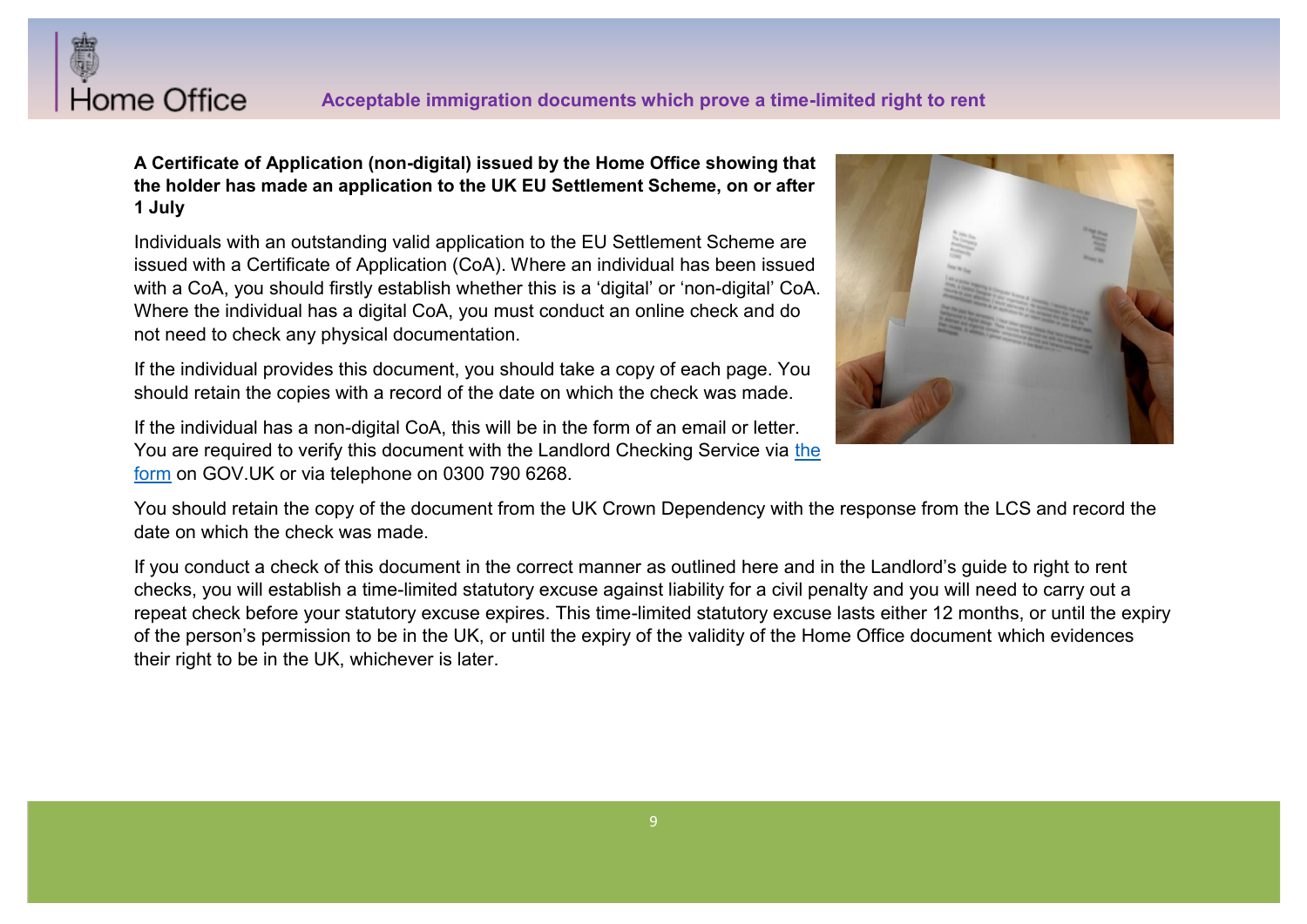

**A Certificate of Application (non-digital) issued by the Home Office showing that the holder has made an application to the UK EU Settlement Scheme, on or after 1 July** 

Individuals with an outstanding valid application to the EU Settlement Scheme are issued with a Certificate of Application (CoA). Where an individual has been issued with a CoA, you should firstly establish whether this is a 'digital' or 'non-digital' CoA. Where the individual has a digital CoA, you must conduct an online check and do not need to check any physical documentation.

If the individual provides this document, you should take a copy of each page. You should retain the copies with a record of the date on which the check was made.

If the individual has a non-digital CoA, this will be in the form of an email or letter. You are required to verify this document with the Landlord Checking Service via the form on GOV.UK or via telephone on 0300 790 6268.



You should retain the copy of the document from the UK Crown Dependency with the response from the LCS and record the date on which the check was made.

If you conduct a check of this document in the correct manner as outlined here and in the Landlord's quide to right to rent checks, you will establish a time-limited statutory excuse against liability for a civil penalty and you will need to carry out a repeat check before your statutory excuse expires. This time-limited statutory excuse lasts either 12 months, or until the expiry of the person's permission to be in the UK, or until the expiry of the validity of the Home Office document which evidences their right to be in the UK, whichever is later.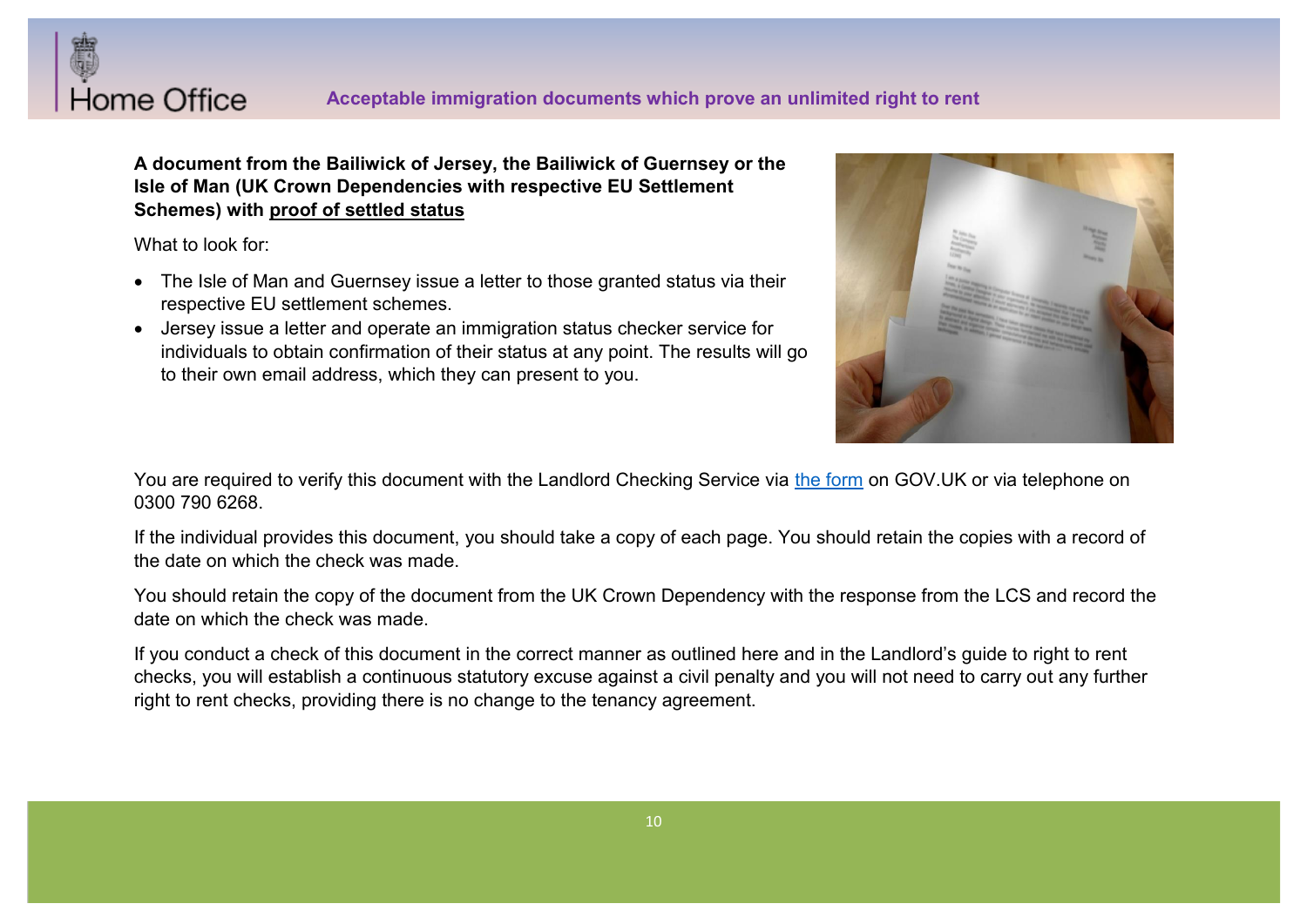

**A document from the Bailiwick of Jersey, the Bailiwick of Guernsey or the Isle of Man (UK Crown Dependencies with respective EU Settlement Schemes) with proof of settled status**

What to look for:

- The Isle of Man and Guernsey issue a letter to those granted status via their respective EU settlement schemes.
- Jersey issue a letter and operate an immigration status checker service for individuals to obtain confirmation of their status at any point. The results will go to their own email address, which they can present to you.



You are required to verify this document with the Landlord Checking Service via the form on GOV.UK or via telephone on 0300 790 6268.

If the individual provides this document, you should take a copy of each page. You should retain the copies with a record of the date on which the check was made.

You should retain the copy of the document from the UK Crown Dependency with the response from the LCS and record the date on which the check was made.

If you conduct a check of this document in the correct manner as outlined here and in the Landlord's guide to right to rent checks, you will establish a continuous statutory excuse against a civil penalty and you will not need to carry out any further right to rent checks, providing there is no change to the tenancy agreement.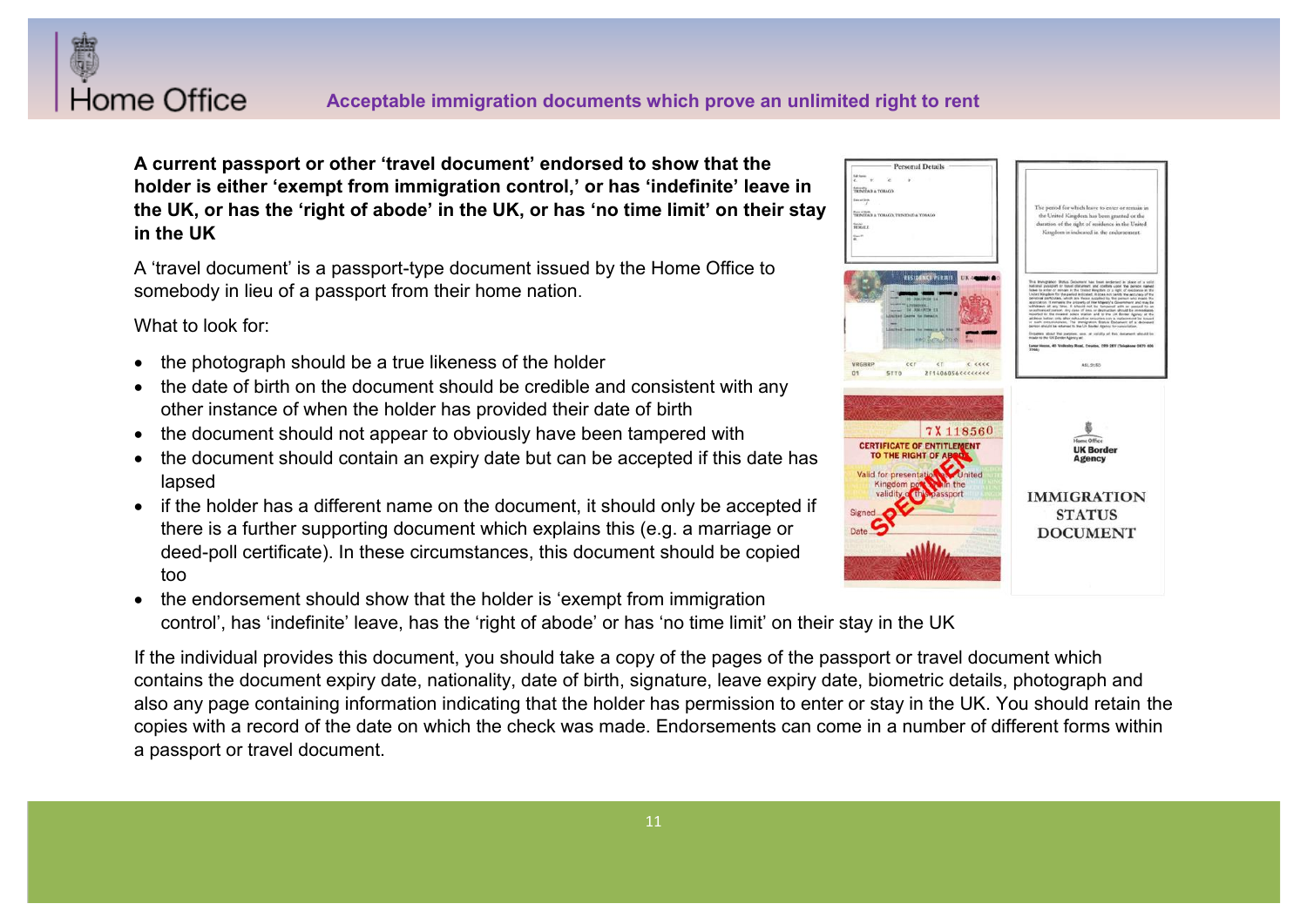

A current passport or other 'travel document' endorsed to show that the holder is either 'exempt from immigration control,' or has 'indefinite' leave in the UK. or has the 'right of abode' in the UK, or has 'no time limit' on their stay **in the UK** 

A 'travel document' is a passport-type document issued by the Home Office to somebody in lieu of a passport from their home nation.

What to look for:

- the photograph should be a true likeness of the holder
- the date of birth on the document should be credible and consistent with any other instance of when the holder has provided their date of birth
- the document should not appear to obviously have been tampered with
- the document should contain an expiry date but can be accepted if this date has lapsed
- if the holder has a different name on the document, it should only be accepted if there is a further supporting document which explains this (e.g. a marriage or deed-poll certificate). In these circumstances, this document should be copied too
- the endorsement should show that the holder is 'exempt from immigration control', has 'indefinite' leave, has the 'right of abode' or has 'no time limit' on their stay in the UK

If the individual provides this document, you should take a copy of the pages of the passport or travel document which contains the document expiry date, nationality, date of birth, signature, leave expiry date, biometric details, photograph and also any page containing information indicating that the holder has permission to enter or stay in the UK. You should retain the copies with a record of the date on which the check was made. Endorsements can come in a number of different forms within a passport or travel document.

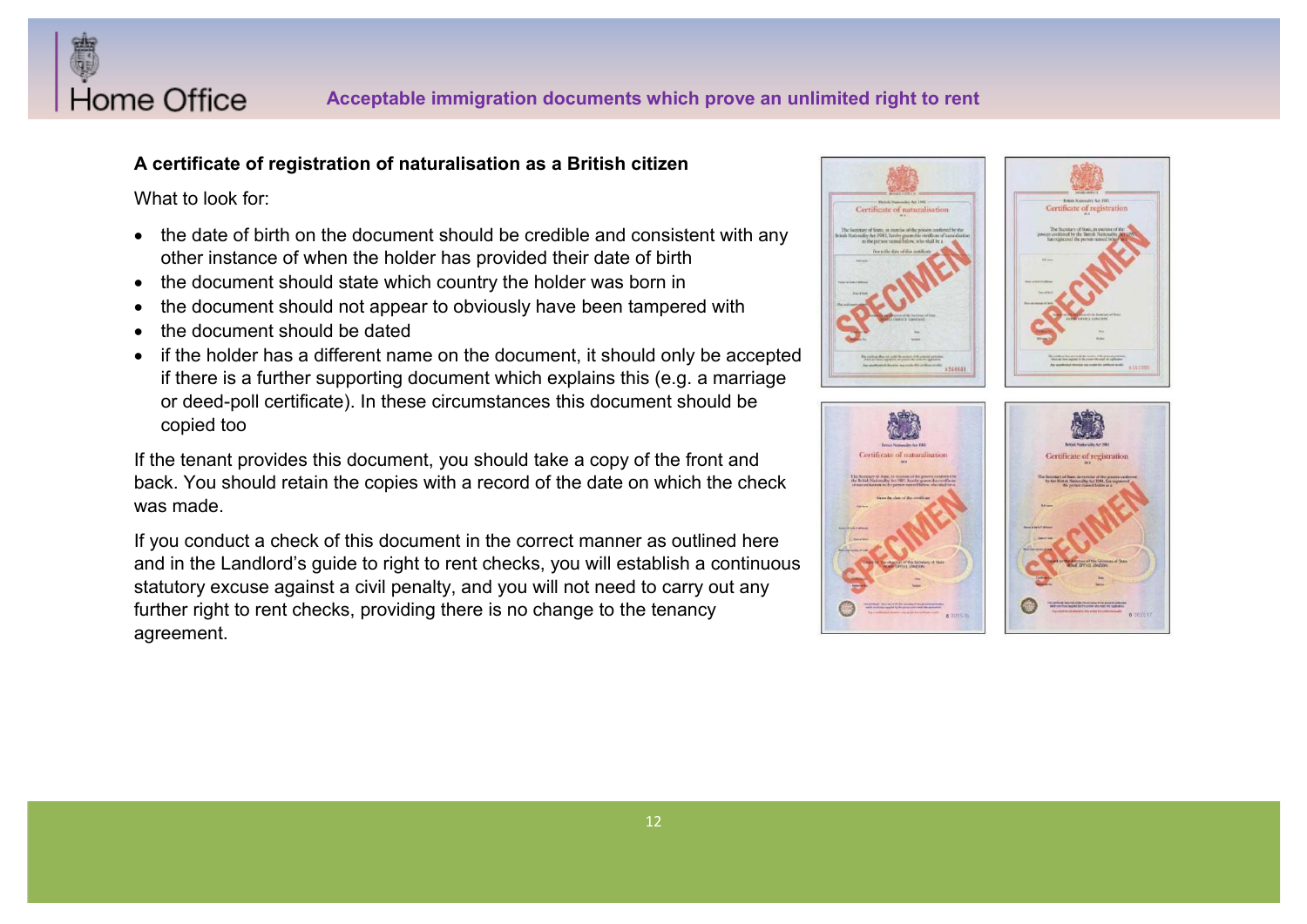

# **A certificate of registration of naturalisation as a British citizen**

What to look for:

- the date of birth on the document should be credible and consistent with any other instance of when the holder has provided their date of birth
- the document should state which country the holder was born in
- the document should not appear to obviously have been tampered with
- the document should be dated
- if the holder has a different name on the document, it should only be accepted if there is a further supporting document which explains this (e.g. a marriage or deed-poll certificate). In these circumstances this document should be copied too

If the tenant provides this document, you should take a copy of the front and back. You should retain the copies with a record of the date on which the check was made.

If you conduct a check of this document in the correct manner as outlined here and in the Landlord's quide to right to rent checks, you will establish a continuous statutory excuse against a civil penalty, and you will not need to carry out any further right to rent checks, providing there is no change to the tenancy agreement.

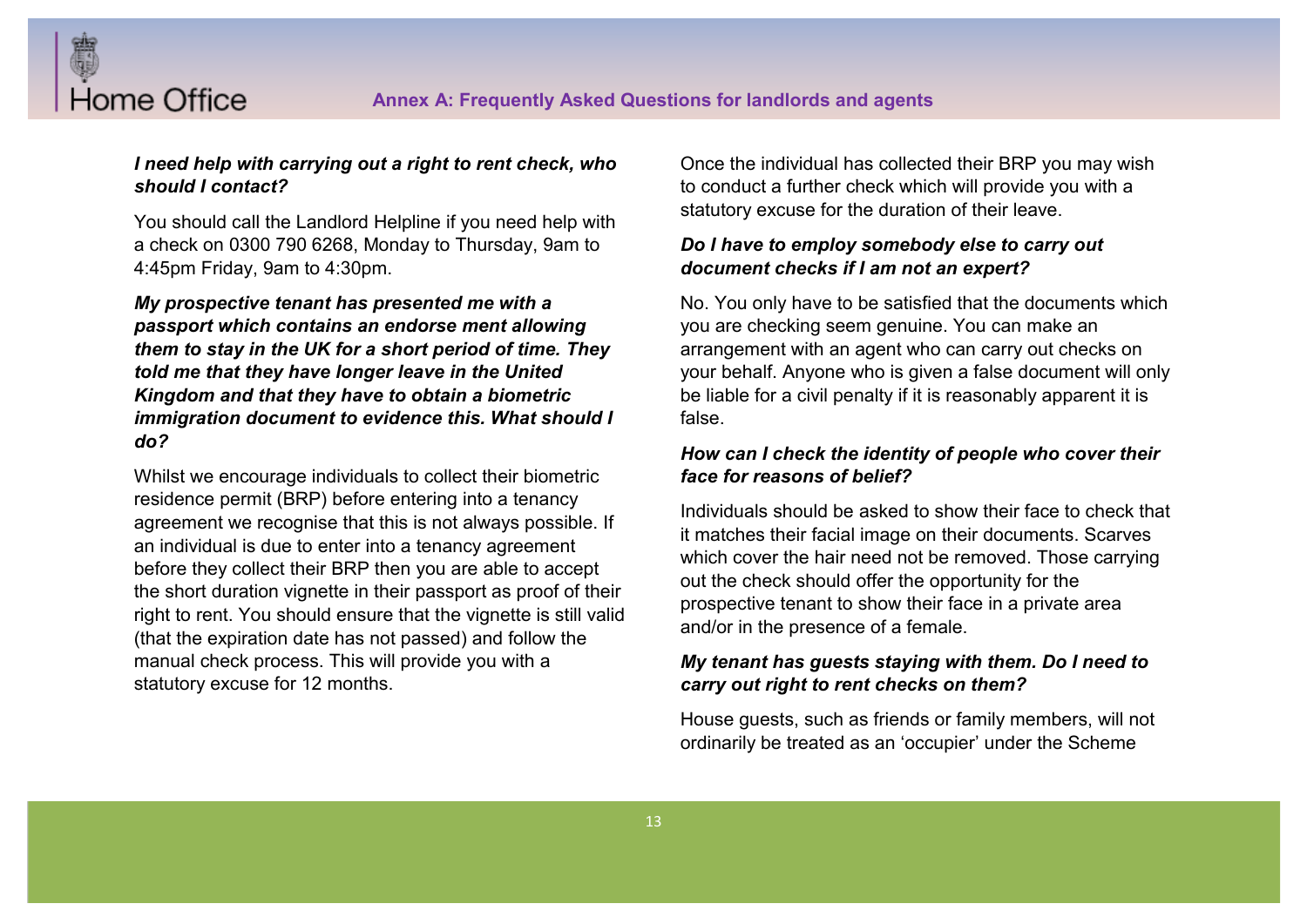

Home Office

You should call the Landlord Helpline if you need help with a check on 0300 790 6268, Monday to Thursday, 9am to 4:45pm Friday, 9am to 4:30pm.

*My prospective tenant has presented me with a passport which contains an endorse ment allowing them to stay in the UK for a short period of time. They told me that they have longer leave in the United Kingdom and that they have to obtain a biometric immigration document to evidence this. What should I do?*

Whilst we encourage individuals to collect their biometric residence permit (BRP) before entering into a tenancy agreement we recognise that this is not always possible. If an individual is due to enter into a tenancy agreement before they collect their BRP then you are able to accept the short duration vignette in their passport as proof of their right to rent. You should ensure that the vignette is still valid (that the expiration date has not passed) and follow the manual check process. This will provide you with a statutory excuse for 12 months.

Once the individual has collected their BRP you may wish to conduct a further check which will provide you with a statutory excuse for the duration of their leave.

# *Do I have to employ somebody else to carry out document checks if I am not an expert?*

No. You only have to be satisfied that the documents which you are checking seem genuine. You can make an arrangement with an agent who can carry out checks on your behalf. Anyone who is given a false document will only be liable for a civil penalty if it is reasonably apparent it is false.

#### *How can I check the identity of people who cover their face for reasons of belief?*

Individuals should be asked to show their face to check that it matches their facial image on their documents. Scarves which cover the hair need not be removed. Those carrying out the check should offer the opportunity for the prospective tenant to show their face in a private area and/or in the presence of a female.

# *My tenant has guests staying with them. Do I need to carry out right to rent checks on them?*

House guests, such as friends or family members, will not ordinarily be treated as an 'occupier' under the Scheme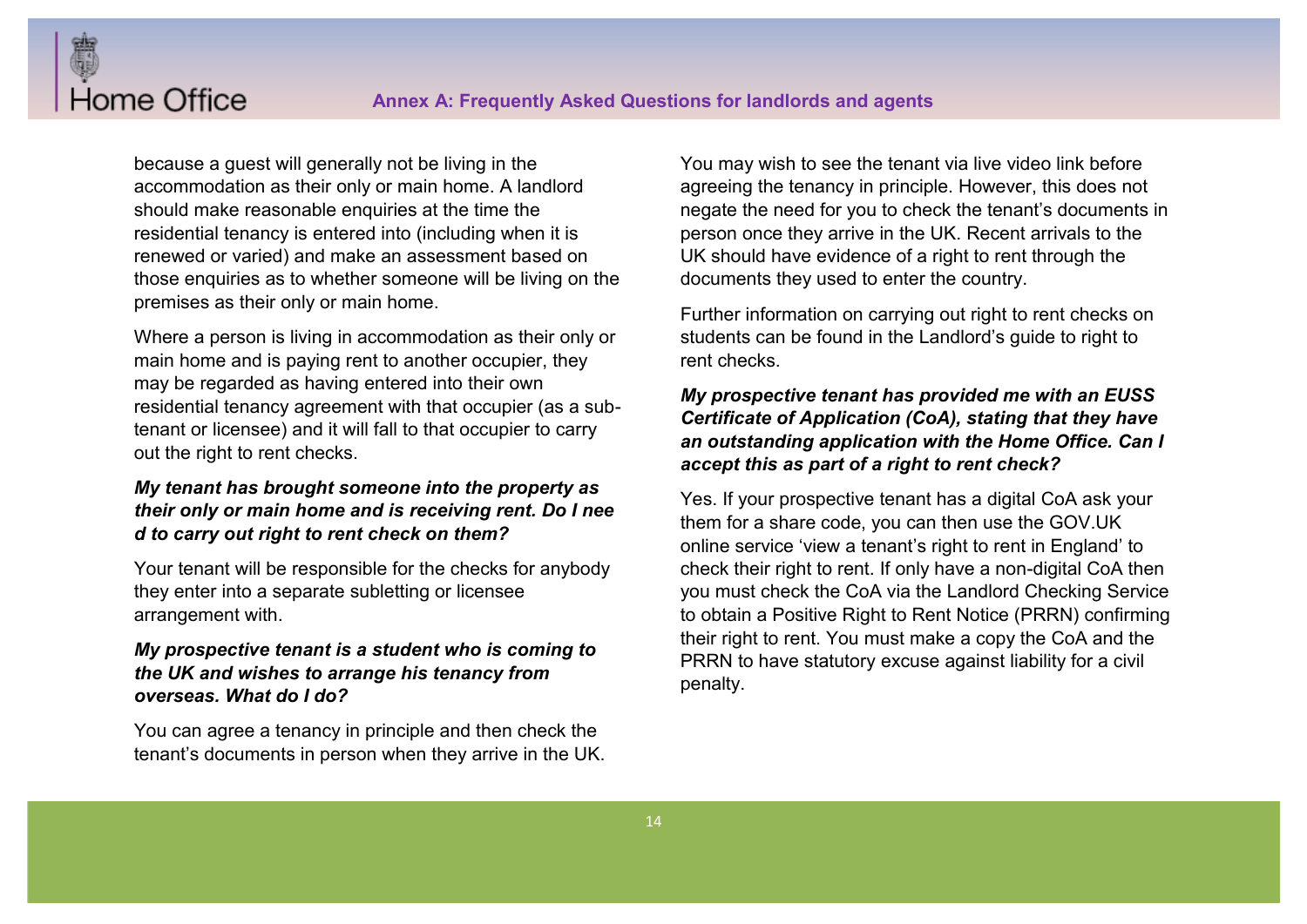because a guest will generally not be living in the accommodation as their only or main home. A landlord should make reasonable enquiries at the time the residential tenancy is entered into (including when it is renewed or varied) and make an assessment based on those enquiries as to whether someone will be living on the premises as their only or main home.

Home Office

Where a person is living in accommodation as their only or main home and is paying rent to another occupier, they may be regarded as having entered into their own residential tenancy agreement with that occupier (as a subtenant or licensee) and it will fall to that occupier to carry out the right to rent checks.

# *My tenant has brought someone into the property as their only or main home and is receiving rent. Do I nee d to carry out right to rent check on them?*

Your tenant will be responsible for the checks for anybody they enter into a separate subletting or licensee arrangement with.

# *My prospective tenant is a student who is coming to the UK and wishes to arrange his tenancy from overseas. What do I do?*

You can agree a tenancy in principle and then check the tenant's documents in person when they arrive in the UK. You may wish to see the tenant via live video link before agreeing the tenancy in principle. However, this does not negate the need for you to check the tenant's documents in person once they arrive in the UK. Recent arrivals to the UK should have evidence of a right to rent through the documents they used to enter the country.

Further information on carrying out right to rent checks on students can be found in the Landlord's quide to right to rent checks.

# *My prospective tenant has provided me with an EUSS Certificate of Application (CoA), stating that they have an outstanding application with the Home Office. Can I accept this as part of a right to rent check?*

Yes. If your prospective tenant has a digital CoA ask your them for a share code, you can then use the GOV.UK online service 'view a tenant's right to rent in England' to check their right to rent. If only have a non-digital CoA then you must check the CoA via the Landlord Checking Service to obtain a Positive Right to Rent Notice (PRRN) confirming their right to rent. You must make a copy the CoA and the PRRN to have statutory excuse against liability for a civil penalty.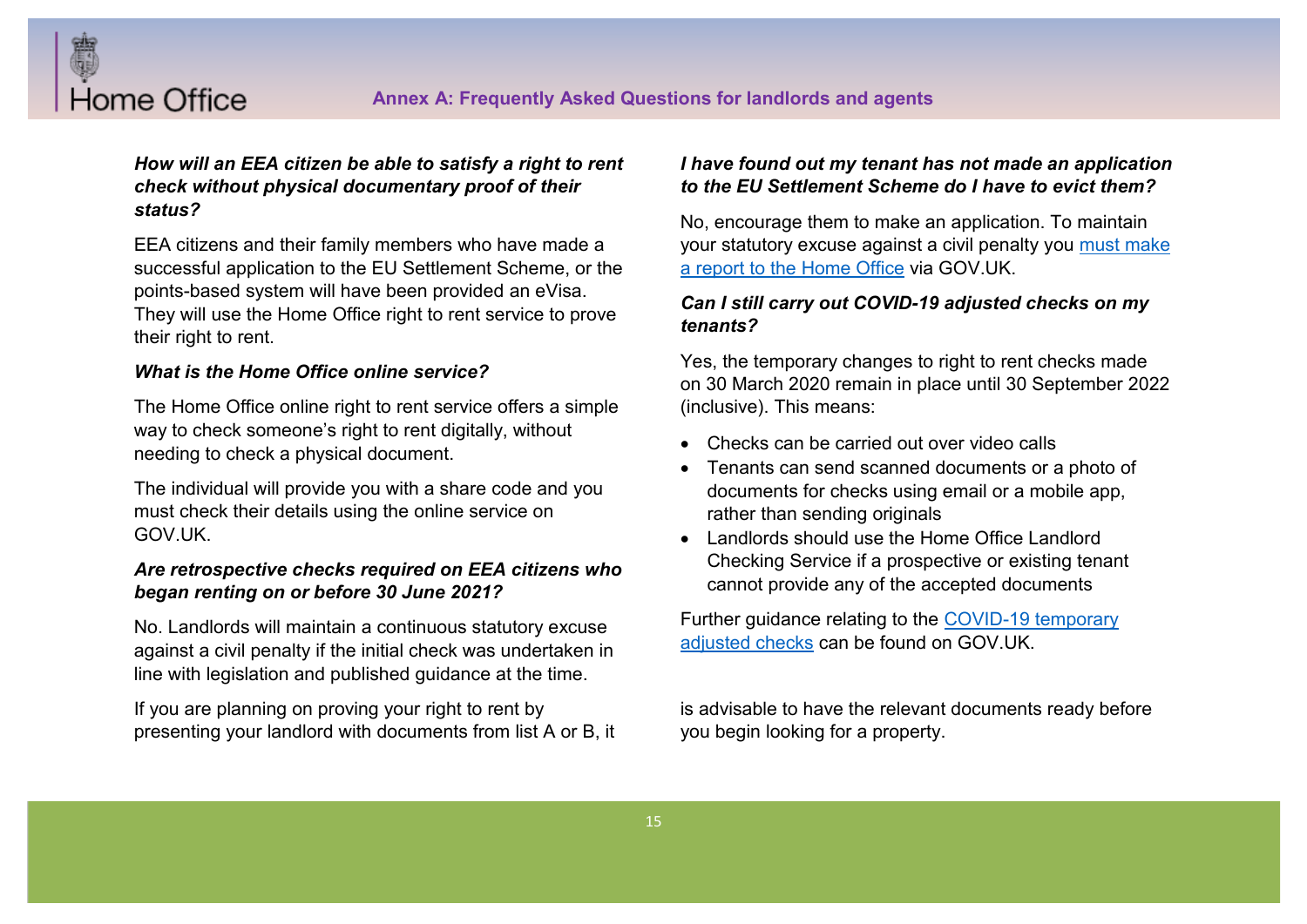

# *How will an EEA citizen be able to satisfy a right to rent check without physical documentary proof of their status?*

EEA citizens and their family members who have made a successful application to the EU Settlement Scheme, or the points-based system will have been provided an eVisa. They will use the Home Office right to rent service to prove their right to rent.

#### *What is the Home Office online service?*

The Home Office online right to rent service offers a simple way to check someone's right to rent digitally, without needing to check a physical document.

The individual will provide you with a share code and you must check their details using the online service on GOV.UK.

#### *Are retrospective checks required on EEA citizens who began renting on or before 30 June 2021?*

No. Landlords will maintain a continuous statutory excuse against a civil penalty if the initial check was undertaken in line with legislation and published guidance at the time.

If you are planning on proving your right to rent by presenting your landlord with documents from list A or B, it

#### *I have found out my tenant has not made an application to the EU Settlement Scheme do I have to evict them?*

No, encourage them to make an application. To maintain your statutory excuse against a civil penalty you must make a report to the Home Office via GOV.UK.

#### *Can I still carry out COVID-19 adjusted checks on my tenants?*

Yes, the temporary changes to right to rent checks made on 30 March 2020 remain in place until 30 September 2022 (inclusive). This means:

- Checks can be carried out over video calls
- Tenants can send scanned documents or a photo of documents for checks using email or a mobile app, rather than sending originals
- Landlords should use the Home Office Landlord Checking Service if a prospective or existing tenant cannot provide any of the accepted documents

Further guidance relating to the COVID-19 temporary adjusted checks can be found on GOV.UK.

is advisable to have the relevant documents ready before you begin looking for a property.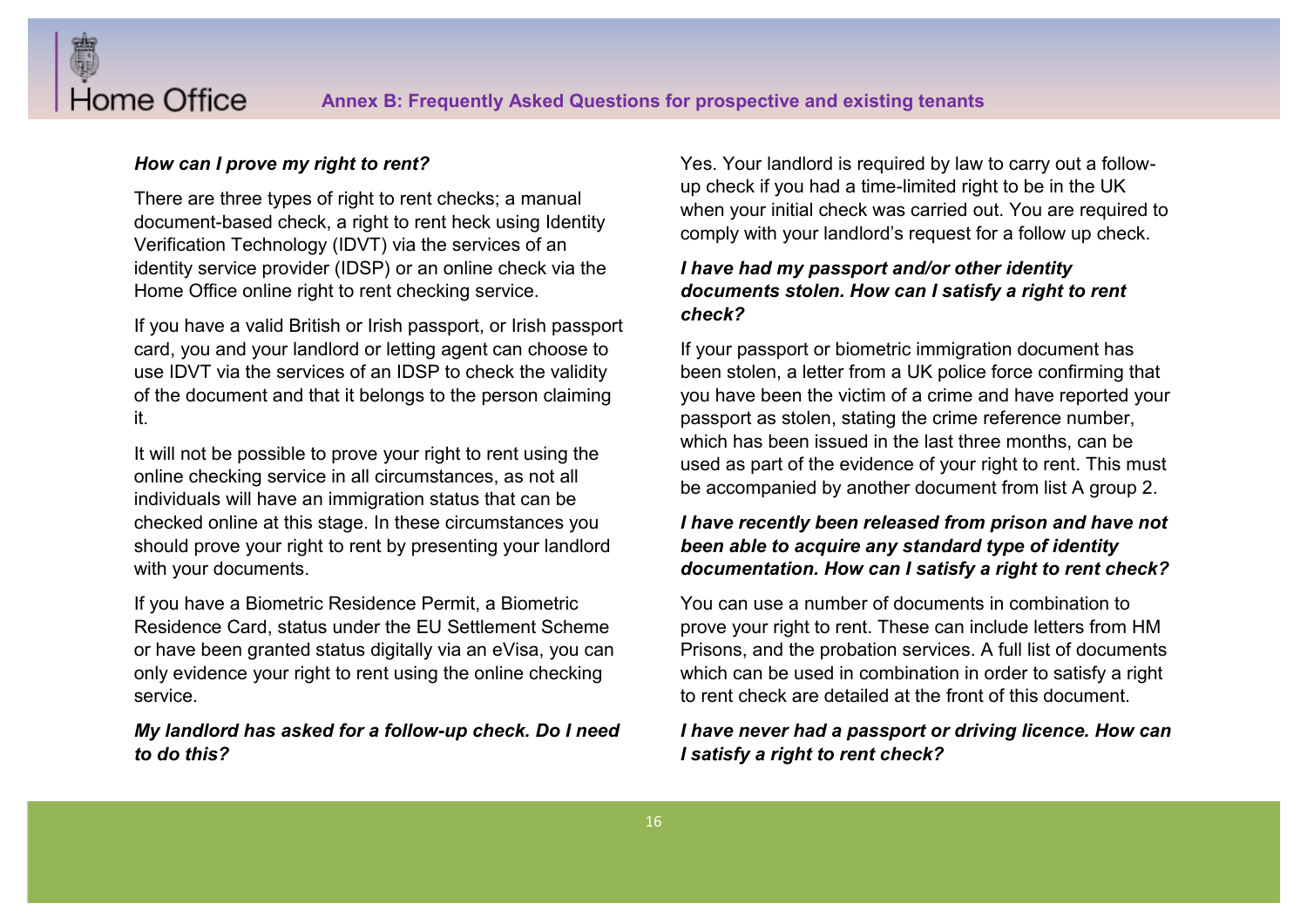

#### *How can I prove my right to rent?*

There are three types of right to rent checks; a manual document-based check, a right to rent heck using Identity Verification Technology (IDVT) via the services of an identity service provider (IDSP) or an online check via the Home Office online right to rent checking service.

If you have a valid British or Irish passport, or Irish passport card, you and your landlord or letting agent can choose to use IDVT via the services of an IDSP to check the validity of the document and that it belongs to the person claiming it.

It will not be possible to prove your right to rent using the online checking service in all circumstances, as not all individuals will have an immigration status that can be checked online at this stage. In these circumstances you should prove your right to rent by presenting your landlord with your documents.

If you have a Biometric Residence Permit, a Biometric Residence Card, status under the EU Settlement Scheme or have been granted status digitally via an eVisa, you can only evidence your right to rent using the online checking service.

#### *My landlord has asked for a follow-up check. Do I need to do this?*

Yes. Your landlord is required by law to carry out a followup check if you had a time-limited right to be in the UK when your initial check was carried out. You are required to comply with your landlord's request for a follow up check.

# *I have had my passport and/or other identity documents stolen. How can I satisfy a right to rent check?*

If your passport or biometric immigration document has been stolen, a letter from a UK police force confirming that you have been the victim of a crime and have reported your passport as stolen, stating the crime reference number, which has been issued in the last three months, can be used as part of the evidence of your right to rent. This must be accompanied by another document from list A group 2.

# *I have recently been released from prison and have not been able to acquire any standard type of identity documentation. How can I satisfy a right to rent check?*

You can use a number of documents in combination to prove your right to rent. These can include letters from HM Prisons, and the probation services. A full list of documents which can be used in combination in order to satisfy a right to rent check are detailed at the front of this document.

# *I have never had a passport or driving licence. How can I satisfy a right to rent check?*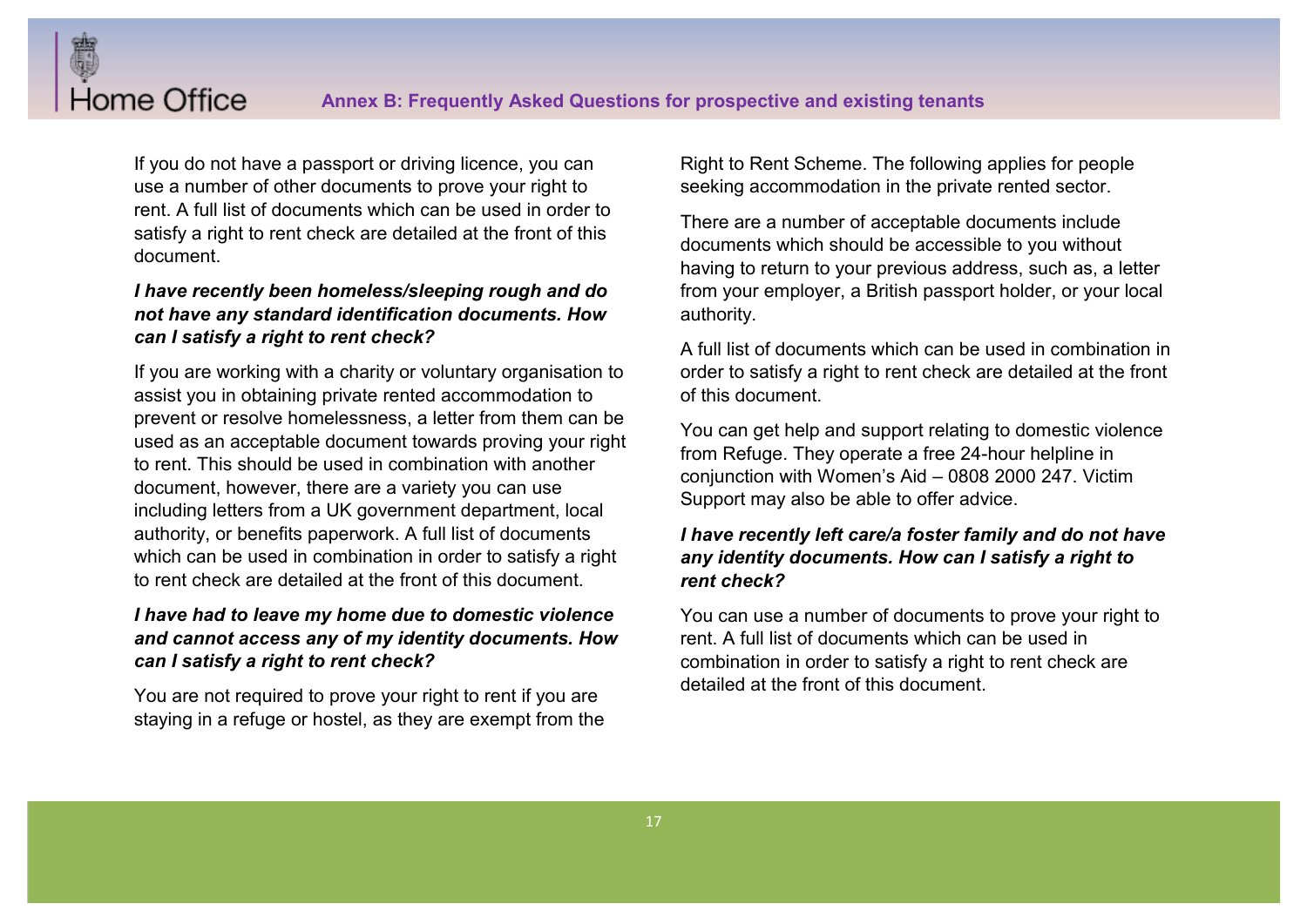If you do not have a passport or driving licence, you can use a number of other documents to prove your right to rent. A full list of documents which can be used in order to satisfy a right to rent check are detailed at the front of this document.

Home Office

### *I have recently been homeless/sleeping rough and do not have any standard identification documents. How can I satisfy a right to rent check?*

If you are working with a charity or voluntary organisation to assist you in obtaining private rented accommodation to prevent or resolve homelessness, a letter from them can be used as an acceptable document towards proving your right to rent. This should be used in combination with another document, however, there are a variety you can use including letters from a UK government department, local authority, or benefits paperwork. A full list of documents which can be used in combination in order to satisfy a right to rent check are detailed at the front of this document.

# *I have had to leave my home due to domestic violence and cannot access any of my identity documents. How can I satisfy a right to rent check?*

You are not required to prove your right to rent if you are staying in a refuge or hostel, as they are exempt from the Right to Rent Scheme. The following applies for people seeking accommodation in the private rented sector.

There are a number of acceptable documents include documents which should be accessible to you without having to return to your previous address, such as, a letter from your employer, a British passport holder, or your local authority.

A full list of documents which can be used in combination in order to satisfy a right to rent check are detailed at the front of this document.

You can get help and support relating to domestic violence from Refuge. They operate a free 24-hour helpline in conjunction with Women's Aid  $-$  0808 2000 247. Victim Support may also be able to offer advice.

# *I have recently left care/a foster family and do not have any identity documents. How can I satisfy a right to rent check?*

You can use a number of documents to prove your right to rent. A full list of documents which can be used in combination in order to satisfy a right to rent check are detailed at the front of this document.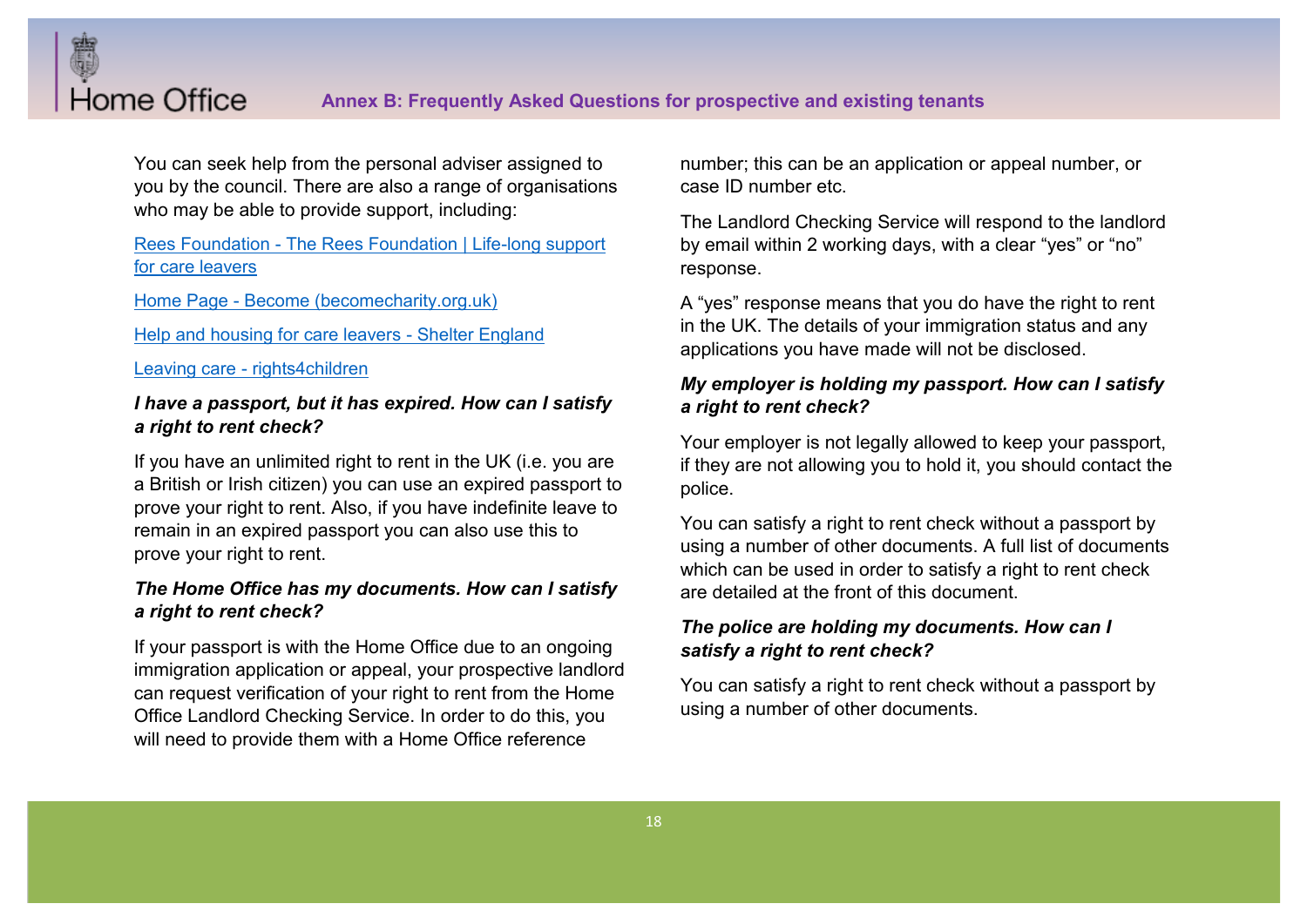

You can seek help from the personal adviser assigned to you by the council. There are also a range of organisations who may be able to provide support, including:

# Rees Foundation - The Rees Foundation | Life-long support for care leavers

Home Page - Become (becomecharity.org.uk)

Help and housing for care leavers - Shelter England

Leaving care - rights4children

# *I have a passport, but it has expired. How can I satisfy a right to rent check?*

If you have an unlimited right to rent in the UK (i.e. you are a British or Irish citizen) you can use an expired passport to prove your right to rent. Also, if you have indefinite leave to remain in an expired passport you can also use this to prove your right to rent.

# *The Home Office has my documents. How can I satisfy a right to rent check?*

If your passport is with the Home Office due to an ongoing immigration application or appeal, your prospective landlord can request verification of your right to rent from the Home Office Landlord Checking Service. In order to do this, you will need to provide them with a Home Office reference

number; this can be an application or appeal number, or case ID number etc.

The Landlord Checking Service will respond to the landlord by email within 2 working days, with a clear "yes" or "no" response.

A "yes" response means that you do have the right to rent in the UK. The details of your immigration status and any applications you have made will not be disclosed.

# *My employer is holding my passport. How can I satisfy a right to rent check?*

Your employer is not legally allowed to keep your passport, if they are not allowing you to hold it, you should contact the police.

You can satisfy a right to rent check without a passport by using a number of other documents. A full list of documents which can be used in order to satisfy a right to rent check are detailed at the front of this document.

# *The police are holding my documents. How can I satisfy a right to rent check?*

You can satisfy a right to rent check without a passport by using a number of other documents.